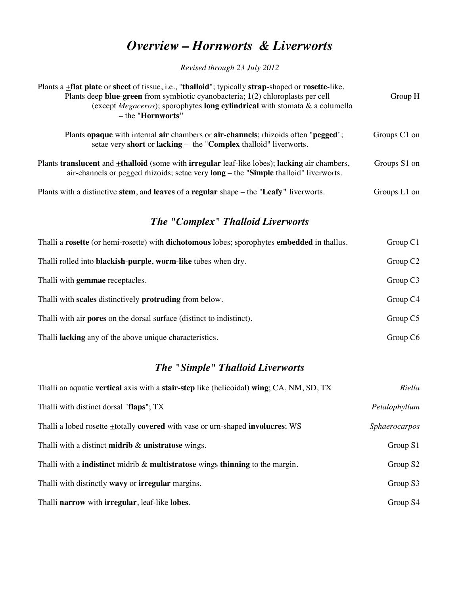## *Overview – Hornworts & Liverworts*

*Revised through 23 July 2012*

| Plants a <b>+flat plate</b> or sheet of tissue, i.e., "thalloid"; typically strap-shaped or rosette-like.<br>Plants deep blue-green from symbiotic cyanobacteria; 1(2) chloroplasts per cell<br>(except <i>Megaceros</i> ); sporophytes <b>long cylindrical</b> with stomata & a columella<br>$-$ the "Hornworts" | Group H      |
|-------------------------------------------------------------------------------------------------------------------------------------------------------------------------------------------------------------------------------------------------------------------------------------------------------------------|--------------|
| Plants opaque with internal air chambers or air-channels; rhizoids often "pegged";<br>setae very short or lacking $-$ the "Complex thalloid" liverworts.                                                                                                                                                          | Groups C1 on |
| Plants translucent and +thalloid (some with irregular leaf-like lobes); lacking air chambers,<br>air-channels or pegged rhizoids; setae very $\log -$ the "Simple thalloid" liverworts.                                                                                                                           | Groups S1 on |
| Plants with a distinctive stem, and leaves of a regular shape – the "Leafy" liverworts.                                                                                                                                                                                                                           | Groups L1 on |

## *The "Complex" Thalloid Liverworts*

| Thalli a rosette (or hemi-rosette) with <b>dichotomous</b> lobes; sporophytes <b>embedded</b> in thallus. | Group C1             |
|-----------------------------------------------------------------------------------------------------------|----------------------|
| Thalli rolled into blackish-purple, worm-like tubes when dry.                                             | Group C <sub>2</sub> |
| Thalli with <b>gemmae</b> receptacles.                                                                    | Group $C3$           |
| Thalli with scales distinctively protruding from below.                                                   | Group C4             |
| Thalli with air <b>pores</b> on the dorsal surface (distinct to indistinct).                              | Group C5             |
| Thalli <b>lacking</b> any of the above unique characteristics.                                            | Group C <sub>6</sub> |

## *The "Simple" Thalloid Liverworts*

| Thalli an aquatic <b>vertical</b> axis with a <b>stair-step</b> like (helicoidal) <b>wing</b> ; CA, NM, SD, TX | Riella               |
|----------------------------------------------------------------------------------------------------------------|----------------------|
| Thalli with distinct dorsal "flaps"; TX                                                                        | Petalophyllum        |
| Thalli a lobed rosette + totally covered with vase or urn-shaped involucres; WS                                | <i>Sphaerocarpos</i> |
| Thalli with a distinct <b>midrib</b> $\&$ <b>unistratose</b> wings.                                            | Group $S1$           |
| Thalli with a <b>indistinct</b> midrib $\&$ <b>multistratose</b> wings <b>thinning</b> to the margin.          | Group S <sub>2</sub> |
| Thalli with distinctly wavy or <b>irregular</b> margins.                                                       | Group S3             |
| Thalli narrow with irregular, leaf-like lobes.                                                                 | Group S4             |